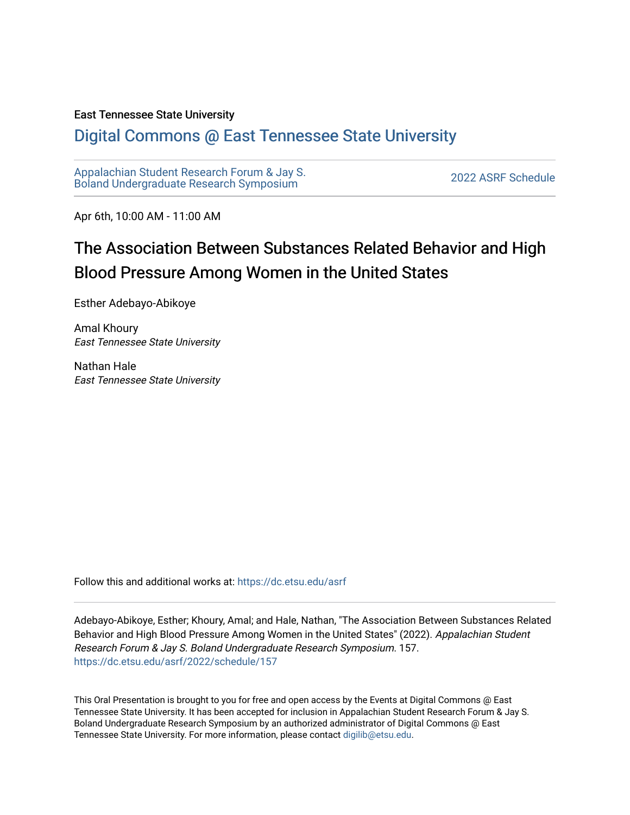#### East Tennessee State University

#### [Digital Commons @ East Tennessee State University](https://dc.etsu.edu/)

[Appalachian Student Research Forum & Jay S.](https://dc.etsu.edu/asrf)  Appalactifalt Student Research Forum & Jay S.<br>Boland Undergraduate Research Symposium

Apr 6th, 10:00 AM - 11:00 AM

#### The Association Between Substances Related Behavior and High Blood Pressure Among Women in the United States

Esther Adebayo-Abikoye

Amal Khoury East Tennessee State University

Nathan Hale East Tennessee State University

Follow this and additional works at: [https://dc.etsu.edu/asrf](https://dc.etsu.edu/asrf?utm_source=dc.etsu.edu%2Fasrf%2F2022%2Fschedule%2F157&utm_medium=PDF&utm_campaign=PDFCoverPages) 

Adebayo-Abikoye, Esther; Khoury, Amal; and Hale, Nathan, "The Association Between Substances Related Behavior and High Blood Pressure Among Women in the United States" (2022). Appalachian Student Research Forum & Jay S. Boland Undergraduate Research Symposium. 157. [https://dc.etsu.edu/asrf/2022/schedule/157](https://dc.etsu.edu/asrf/2022/schedule/157?utm_source=dc.etsu.edu%2Fasrf%2F2022%2Fschedule%2F157&utm_medium=PDF&utm_campaign=PDFCoverPages) 

This Oral Presentation is brought to you for free and open access by the Events at Digital Commons @ East Tennessee State University. It has been accepted for inclusion in Appalachian Student Research Forum & Jay S. Boland Undergraduate Research Symposium by an authorized administrator of Digital Commons @ East Tennessee State University. For more information, please contact [digilib@etsu.edu](mailto:digilib@etsu.edu).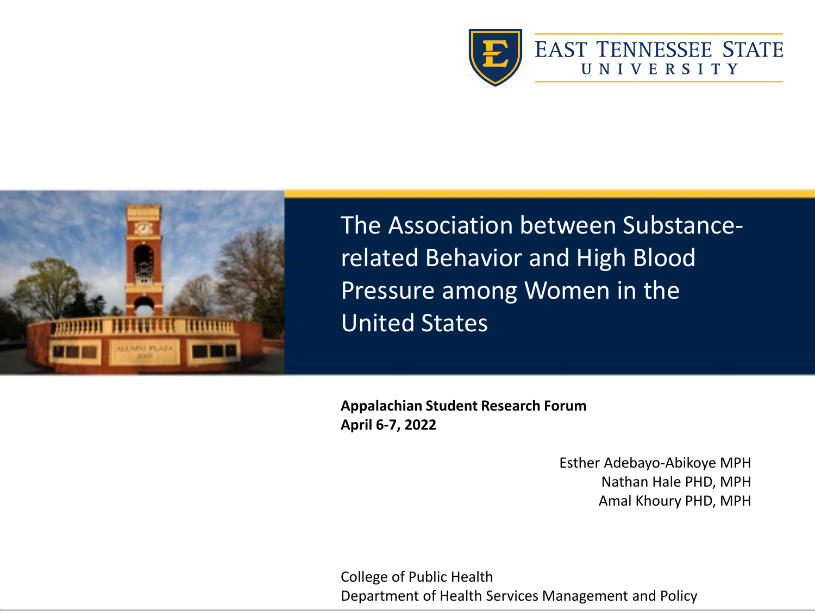



The Association between Substancerelated Behavior and High Blood Pressure among Women in the United States

**Appalachian Student Research Forum April 6-7, 2022**

> Esther Adebayo-Abikoye MPH Nathan Hale PHD, MPH Amal Khoury PHD, MPH

College of Public Health Department of Health Services Management and Policy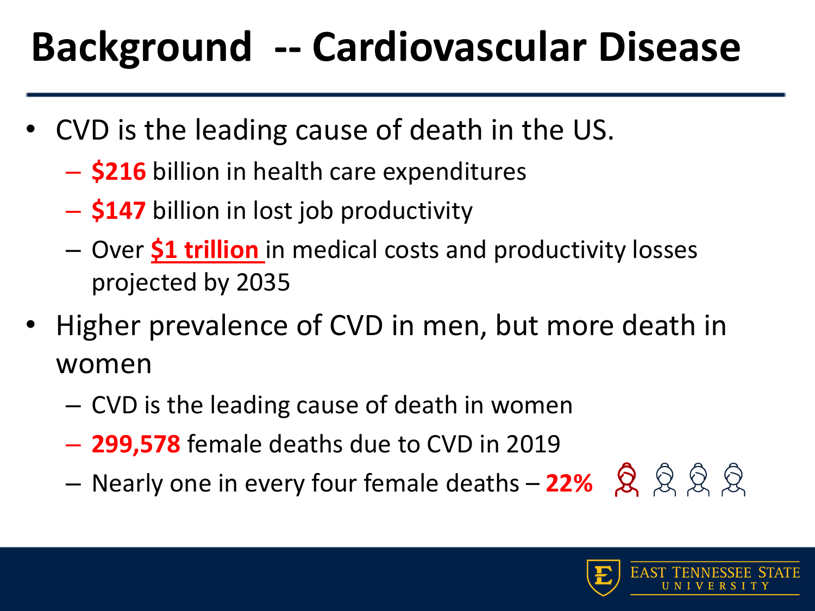## **Background -- Cardiovascular Disease**

- CVD is the leading cause of death in the US.
	- **\$216** billion in health care expenditures
	- **\$147** billion in lost job productivity
	- Over **\$1 trillion** in medical costs and productivity losses projected by 2035
- Higher prevalence of CVD in men, but more death in women
	- CVD is the leading cause of death in women
	- **299,578** female deaths due to CVD in 2019
	- Nearly one in every four female deaths **22%**

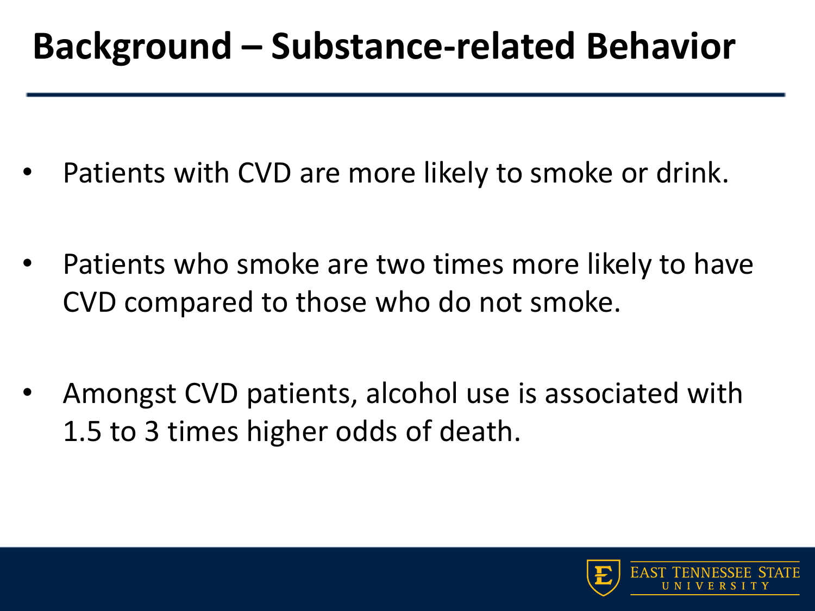#### **Background – Substance-related Behavior**

- Patients with CVD are more likely to smoke or drink.
- Patients who smoke are two times more likely to have CVD compared to those who do not smoke.
- Amongst CVD patients, alcohol use is associated with 1.5 to 3 times higher odds of death.

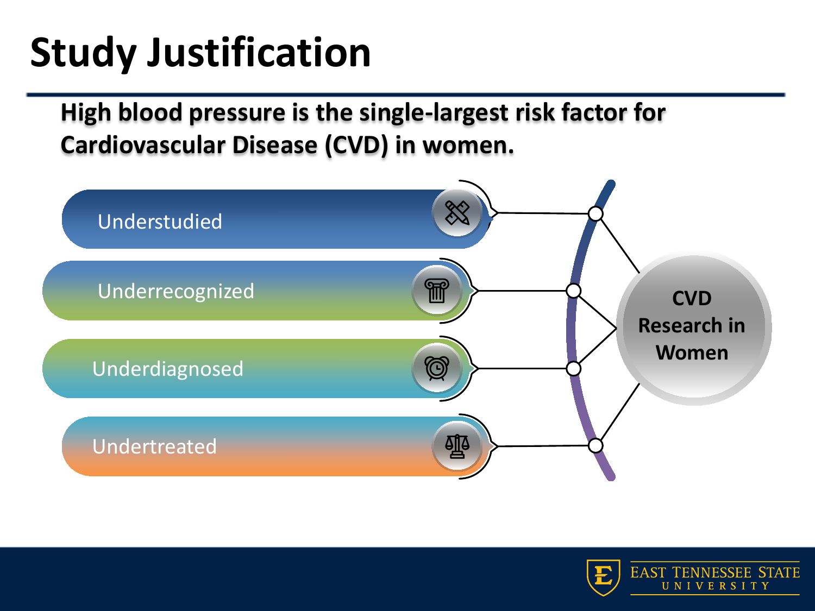## **Study Justification**

**High blood pressure is the single-largest risk factor for Cardiovascular Disease (CVD) in women.**



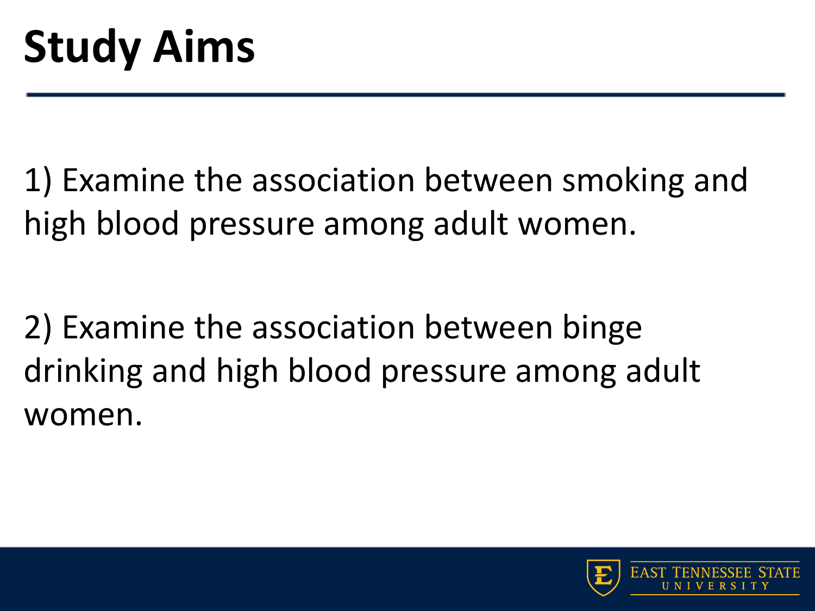1) Examine the association between smoking and high blood pressure among adult women.

2) Examine the association between binge drinking and high blood pressure among adult women.

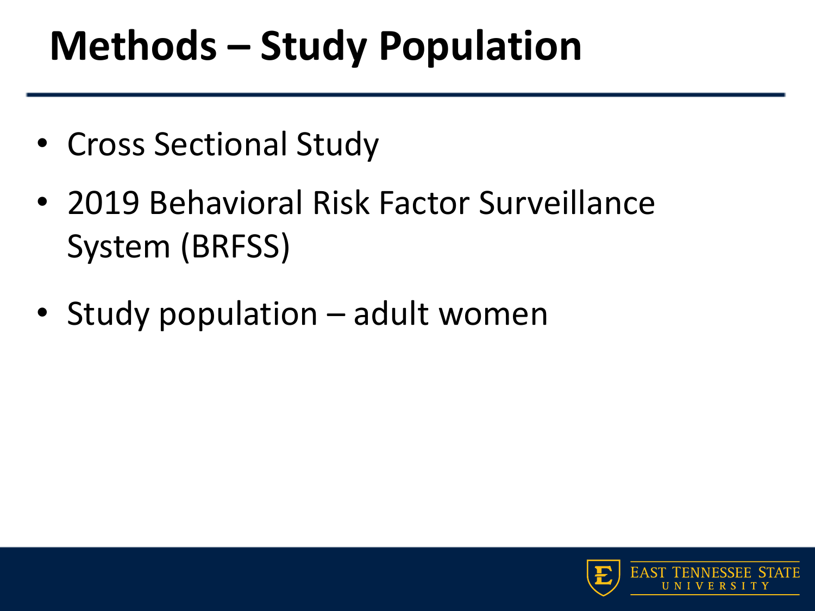### **Methods – Study Population**

- Cross Sectional Study
- 2019 Behavioral Risk Factor Surveillance System (BRFSS)
- Study population adult women

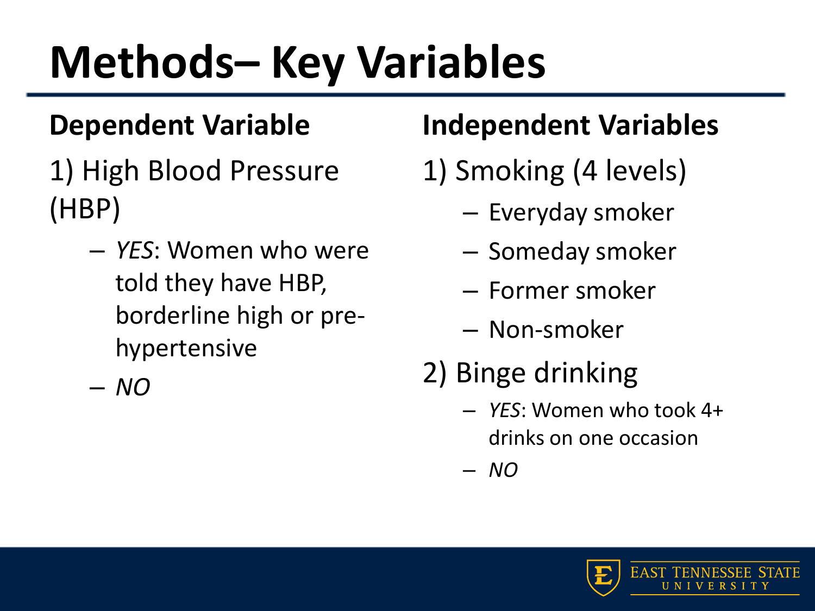# **Methods– Key Variables**

#### **Dependent Variable**

- 1) High Blood Pressure (HBP)
	- *YES*: Women who were told they have HBP, borderline high or prehypertensive

– *NO*

#### **Independent Variables**

- 1) Smoking (4 levels)
	- Everyday smoker
	- Someday smoker
	- Former smoker
	- Non-smoker
- 2) Binge drinking
	- *YES*: Women who took 4+ drinks on one occasion

– *NO*

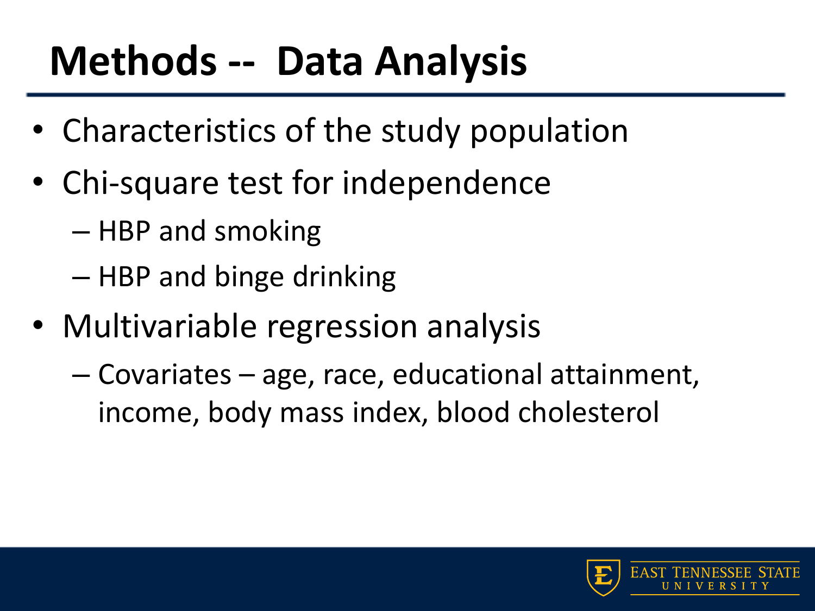### **Methods -- Data Analysis**

- Characteristics of the study population
- Chi-square test for independence
	- HBP and smoking
	- HBP and binge drinking
- Multivariable regression analysis
	- Covariates age, race, educational attainment, income, body mass index, blood cholesterol

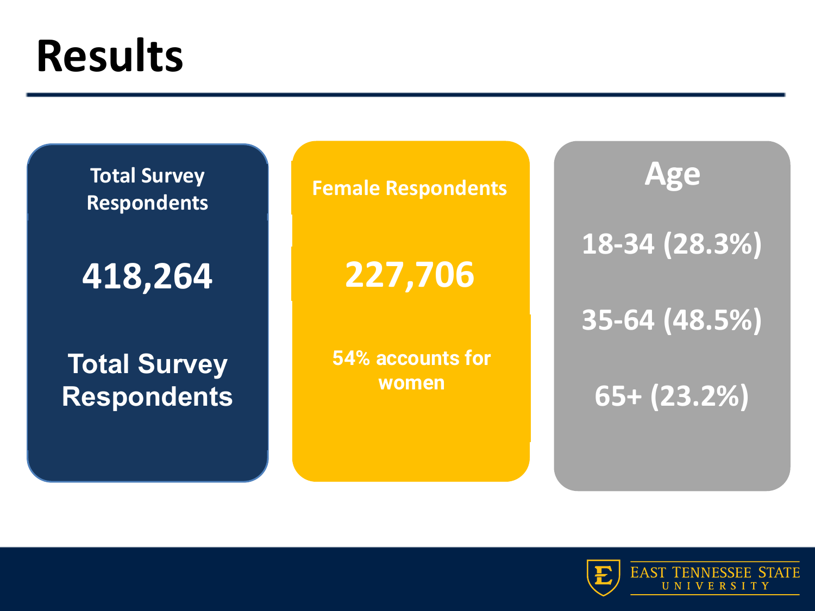## **Results**

**Total Survey Respondents** 

**418,264**

**Total Survey Respondents**  **Female Respondents** 

SERVICES<sup>.</sup> **227,706**

**54% accounts for women** 

**Age 18-34 (28.3%)**

**35-64 (48.5%)**

**65+ (23.2%)**

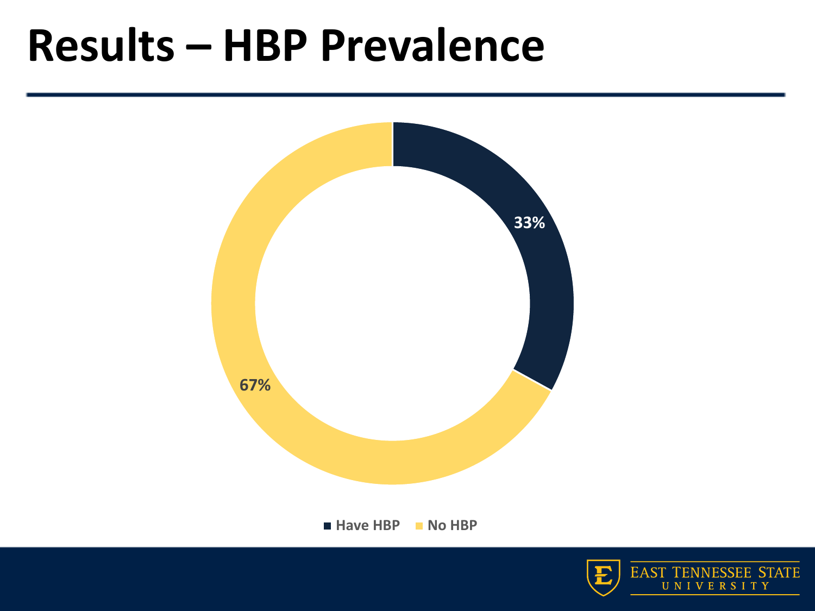### **Results – HBP Prevalence**



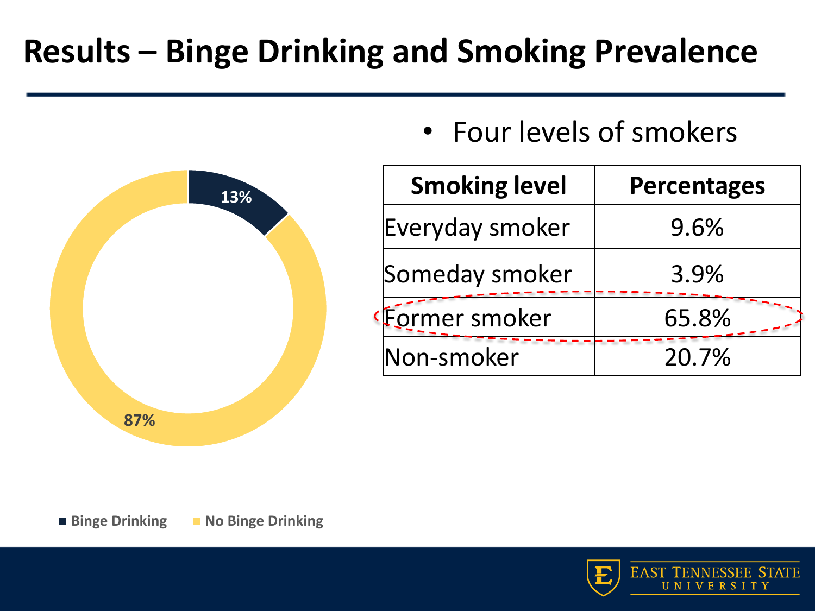#### **Results – Binge Drinking and Smoking Prevalence**



• Four levels of smokers

| <b>Smoking level</b> | <b>Percentages</b> |
|----------------------|--------------------|
| Everyday smoker      | 9.6%               |
| Someday smoker       | 3.9%               |
| Former smoker        | 65.8%              |
| Non-smoker           | 20.7%              |

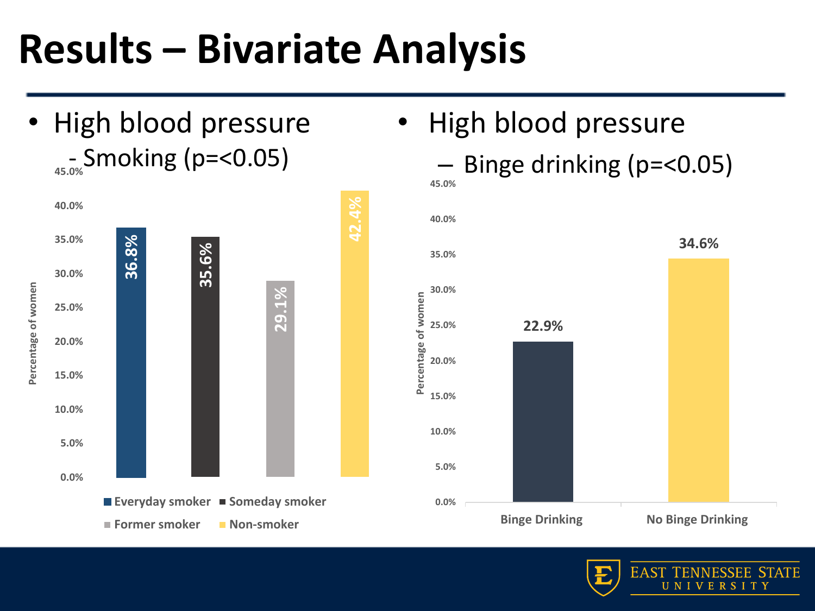### **Results – Bivariate Analysis**

• High blood pressure - Smoking (p=<0.05) **45.0%**



# • High blood pressure



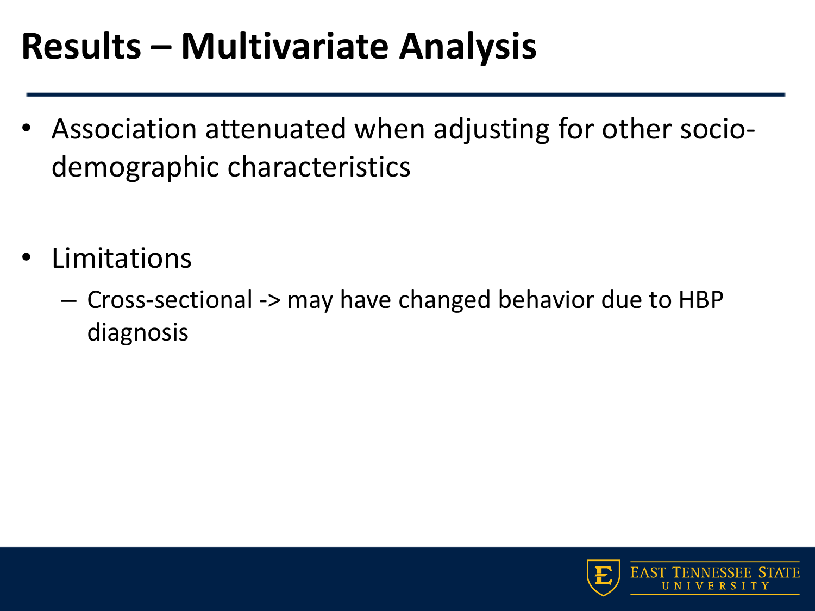#### **Results – Multivariate Analysis**

- Association attenuated when adjusting for other sociodemographic characteristics
- **Limitations** 
	- Cross-sectional -> may have changed behavior due to HBP diagnosis

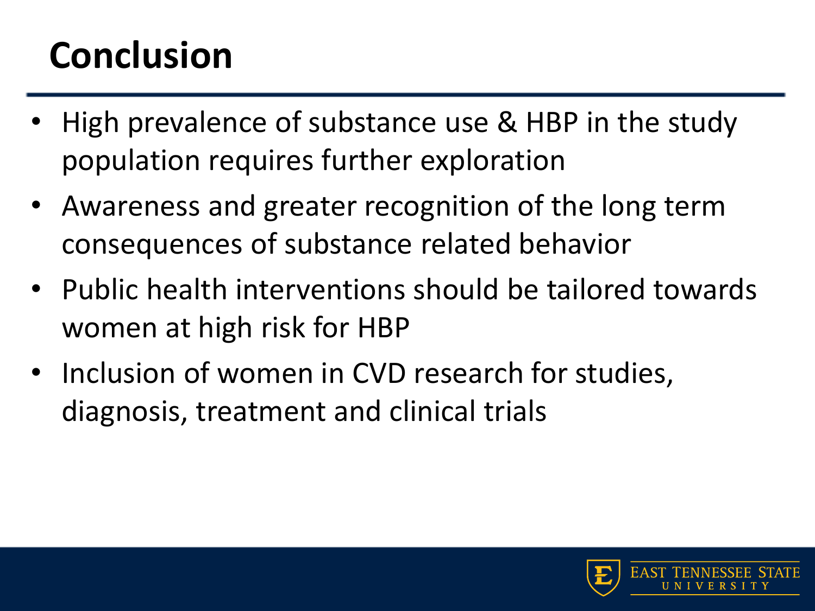#### **Conclusion**

- High prevalence of substance use & HBP in the study population requires further exploration
- Awareness and greater recognition of the long term consequences of substance related behavior
- Public health interventions should be tailored towards women at high risk for HBP
- Inclusion of women in CVD research for studies, diagnosis, treatment and clinical trials